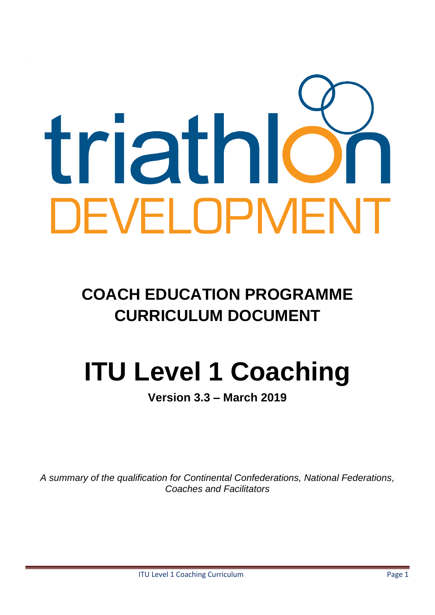# triathic DEVELOPMENT

**COACH EDUCATION PROGRAMME CURRICULUM DOCUMENT**

# **ITU Level 1 Coaching**

**Version 3.3 – March 2019**

*A summary of the qualification for Continental Confederations, National Federations, Coaches and Facilitators*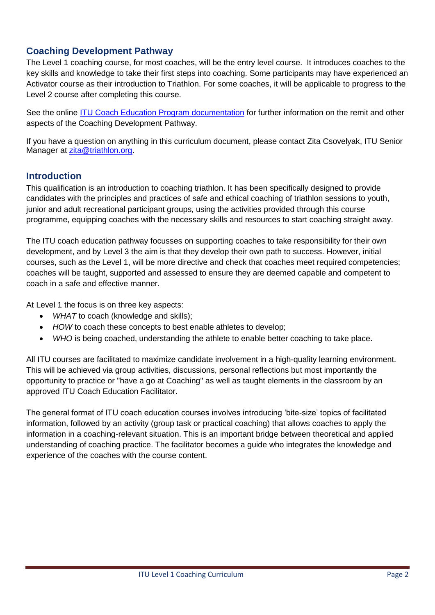# **Coaching Development Pathway**

The Level 1 coaching course, for most coaches, will be the entry level course. It introduces coaches to the key skills and knowledge to take their first steps into coaching. Some participants may have experienced an Activator course as their introduction to Triathlon. For some coaches, it will be applicable to progress to the Level 2 course after completing this course.

See the online [ITU Coach Education Program documentation](http://www.triathlon.org/development/coach/itu_coach_education_program) for further information on the remit and other aspects of the Coaching Development Pathway.

If you have a question on anything in this curriculum document, please contact Zita Csovelyak, ITU Senior Manager at [zita@triathlon.org.](mailto:zita@triathlon.org)

#### **Introduction**

This qualification is an introduction to coaching triathlon. It has been specifically designed to provide candidates with the principles and practices of safe and ethical coaching of triathlon sessions to youth, junior and adult recreational participant groups, using the activities provided through this course programme, equipping coaches with the necessary skills and resources to start coaching straight away.

The ITU coach education pathway focusses on supporting coaches to take responsibility for their own development, and by Level 3 the aim is that they develop their own path to success. However, initial courses, such as the Level 1, will be more directive and check that coaches meet required competencies; coaches will be taught, supported and assessed to ensure they are deemed capable and competent to coach in a safe and effective manner.

At Level 1 the focus is on three key aspects:

- *WHAT* to coach (knowledge and skills);
- *HOW* to coach these concepts to best enable athletes to develop;
- *WHO* is being coached, understanding the athlete to enable better coaching to take place.

All ITU courses are facilitated to maximize candidate involvement in a high-quality learning environment. This will be achieved via group activities, discussions, personal reflections but most importantly the opportunity to practice or "have a go at Coaching" as well as taught elements in the classroom by an approved ITU Coach Education Facilitator.

The general format of ITU coach education courses involves introducing 'bite-size' topics of facilitated information, followed by an activity (group task or practical coaching) that allows coaches to apply the information in a coaching‐relevant situation. This is an important bridge between theoretical and applied understanding of coaching practice. The facilitator becomes a guide who integrates the knowledge and experience of the coaches with the course content.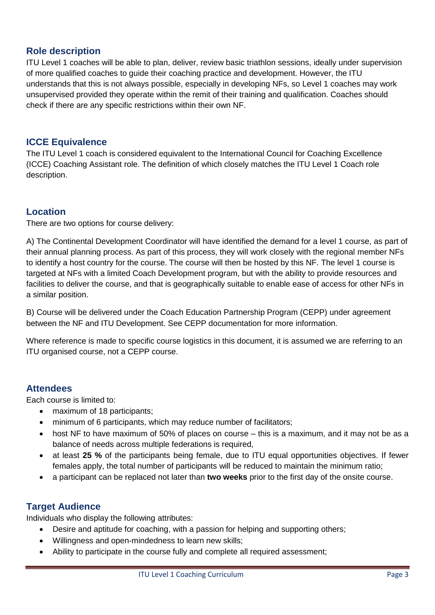# **Role description**

ITU Level 1 coaches will be able to plan, deliver, review basic triathlon sessions, ideally under supervision of more qualified coaches to guide their coaching practice and development. However, the ITU understands that this is not always possible, especially in developing NFs, so Level 1 coaches may work unsupervised provided they operate within the remit of their training and qualification. Coaches should check if there are any specific restrictions within their own NF.

#### **ICCE Equivalence**

The ITU Level 1 coach is considered equivalent to the International Council for Coaching Excellence (ICCE) Coaching Assistant role. The definition of which closely matches the ITU Level 1 Coach role description.

# **Location**

There are two options for course delivery:

A) The Continental Development Coordinator will have identified the demand for a level 1 course, as part of their annual planning process. As part of this process, they will work closely with the regional member NFs to identify a host country for the course. The course will then be hosted by this NF. The level 1 course is targeted at NFs with a limited Coach Development program, but with the ability to provide resources and facilities to deliver the course, and that is geographically suitable to enable ease of access for other NFs in a similar position.

B) Course will be delivered under the Coach Education Partnership Program (CEPP) under agreement between the NF and ITU Development. See CEPP documentation for more information.

Where reference is made to specific course logistics in this document, it is assumed we are referring to an ITU organised course, not a CEPP course.

## **Attendees**

Each course is limited to:

- maximum of 18 participants;
- minimum of 6 participants, which may reduce number of facilitators:
- host NF to have maximum of 50% of places on course this is a maximum, and it may not be as a balance of needs across multiple federations is required,
- at least **25 %** of the participants being female, due to ITU equal opportunities objectives. If fewer females apply, the total number of participants will be reduced to maintain the minimum ratio;
- a participant can be replaced not later than **two weeks** prior to the first day of the onsite course.

## **Target Audience**

Individuals who display the following attributes:

- Desire and aptitude for coaching, with a passion for helping and supporting others;
- Willingness and open-mindedness to learn new skills;
- Ability to participate in the course fully and complete all required assessment;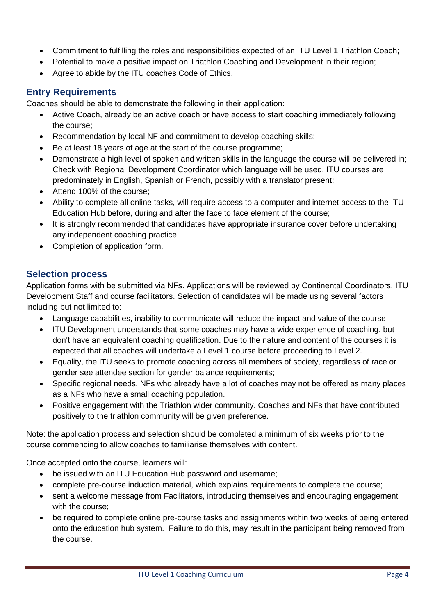- Commitment to fulfilling the roles and responsibilities expected of an ITU Level 1 Triathlon Coach;
- Potential to make a positive impact on Triathlon Coaching and Development in their region;
- Agree to abide by the ITU coaches Code of Ethics.

# **Entry Requirements**

Coaches should be able to demonstrate the following in their application:

- Active Coach, already be an active coach or have access to start coaching immediately following the course;
- Recommendation by local NF and commitment to develop coaching skills;
- Be at least 18 years of age at the start of the course programme;
- Demonstrate a high level of spoken and written skills in the language the course will be delivered in; Check with Regional Development Coordinator which language will be used, ITU courses are predominately in English, Spanish or French, possibly with a translator present;
- Attend 100% of the course:
- Ability to complete all online tasks, will require access to a computer and internet access to the ITU Education Hub before, during and after the face to face element of the course;
- It is strongly recommended that candidates have appropriate insurance cover before undertaking any independent coaching practice;
- Completion of application form.

# **Selection process**

Application forms with be submitted via NFs. Applications will be reviewed by Continental Coordinators, ITU Development Staff and course facilitators. Selection of candidates will be made using several factors including but not limited to:

- Language capabilities, inability to communicate will reduce the impact and value of the course;
- ITU Development understands that some coaches may have a wide experience of coaching, but don't have an equivalent coaching qualification. Due to the nature and content of the courses it is expected that all coaches will undertake a Level 1 course before proceeding to Level 2.
- Equality, the ITU seeks to promote coaching across all members of society, regardless of race or gender see attendee section for gender balance requirements;
- Specific regional needs, NFs who already have a lot of coaches may not be offered as many places as a NFs who have a small coaching population.
- Positive engagement with the Triathlon wider community. Coaches and NFs that have contributed positively to the triathlon community will be given preference.

Note: the application process and selection should be completed a minimum of six weeks prior to the course commencing to allow coaches to familiarise themselves with content.

Once accepted onto the course, learners will:

- be issued with an ITU Education Hub password and username;
- complete pre-course induction material, which explains requirements to complete the course;
- sent a welcome message from Facilitators, introducing themselves and encouraging engagement with the course;
- be required to complete online pre-course tasks and assignments within two weeks of being entered onto the education hub system. Failure to do this, may result in the participant being removed from the course.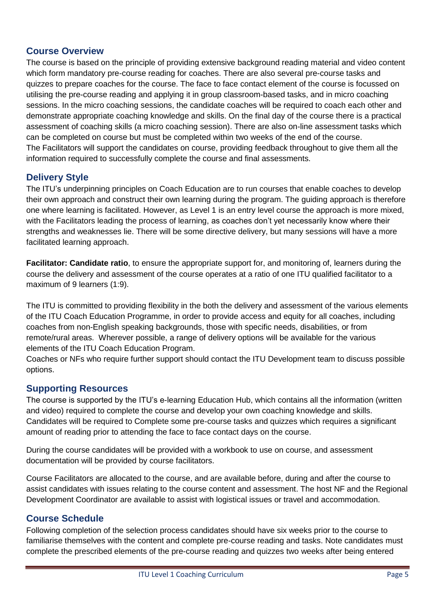# **Course Overview**

The course is based on the principle of providing extensive background reading material and video content which form mandatory pre-course reading for coaches. There are also several pre-course tasks and quizzes to prepare coaches for the course. The face to face contact element of the course is focussed on utilising the pre-course reading and applying it in group classroom-based tasks, and in micro coaching sessions. In the micro coaching sessions, the candidate coaches will be required to coach each other and demonstrate appropriate coaching knowledge and skills. On the final day of the course there is a practical assessment of coaching skills (a micro coaching session). There are also on-line assessment tasks which can be completed on course but must be completed within two weeks of the end of the course. The Facilitators will support the candidates on course, providing feedback throughout to give them all the information required to successfully complete the course and final assessments.

# **Delivery Style**

The ITU's underpinning principles on Coach Education are to run courses that enable coaches to develop their own approach and construct their own learning during the program. The guiding approach is therefore one where learning is facilitated. However, as Level 1 is an entry level course the approach is more mixed, with the Facilitators leading the process of learning, as coaches don't yet necessarily know where their strengths and weaknesses lie. There will be some directive delivery, but many sessions will have a more facilitated learning approach.

**Facilitator: Candidate ratio**, to ensure the appropriate support for, and monitoring of, learners during the course the delivery and assessment of the course operates at a ratio of one ITU qualified facilitator to a maximum of 9 learners (1:9).

The ITU is committed to providing flexibility in the both the delivery and assessment of the various elements of the ITU Coach Education Programme, in order to provide access and equity for all coaches, including coaches from non-English speaking backgrounds, those with specific needs, disabilities, or from remote/rural areas. Wherever possible, a range of delivery options will be available for the various elements of the ITU Coach Education Program.

Coaches or NFs who require further support should contact the ITU Development team to discuss possible options.

## **Supporting Resources**

The course is supported by the ITU's e-learning Education Hub, which contains all the information (written and video) required to complete the course and develop your own coaching knowledge and skills. Candidates will be required to Complete some pre-course tasks and quizzes which requires a significant amount of reading prior to attending the face to face contact days on the course.

During the course candidates will be provided with a workbook to use on course, and assessment documentation will be provided by course facilitators.

Course Facilitators are allocated to the course, and are available before, during and after the course to assist candidates with issues relating to the course content and assessment. The host NF and the Regional Development Coordinator are available to assist with logistical issues or travel and accommodation.

# **Course Schedule**

Following completion of the selection process candidates should have six weeks prior to the course to familiarise themselves with the content and complete pre-course reading and tasks. Note candidates must complete the prescribed elements of the pre-course reading and quizzes two weeks after being entered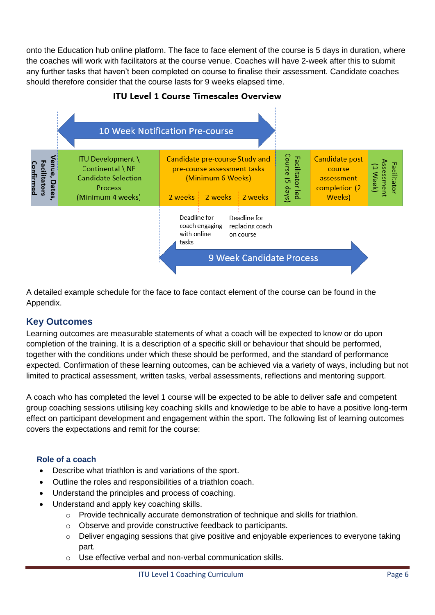onto the Education hub online platform. The face to face element of the course is 5 days in duration, where the coaches will work with facilitators at the course venue. Coaches will have 2-week after this to submit any further tasks that haven't been completed on course to finalise their assessment. Candidate coaches should therefore consider that the course lasts for 9 weeks elapsed time.



#### **ITU Level 1 Course Timescales Overview**

A detailed example schedule for the face to face contact element of the course can be found in the Appendix.

## **Key Outcomes**

Learning outcomes are measurable statements of what a coach will be expected to know or do upon completion of the training. It is a description of a specific skill or behaviour that should be performed, together with the conditions under which these should be performed, and the standard of performance expected. Confirmation of these learning outcomes, can be achieved via a variety of ways, including but not limited to practical assessment, written tasks, verbal assessments, reflections and mentoring support.

A coach who has completed the level 1 course will be expected to be able to deliver safe and competent group coaching sessions utilising key coaching skills and knowledge to be able to have a positive long-term effect on participant development and engagement within the sport. The following list of learning outcomes covers the expectations and remit for the course:

#### **Role of a coach**

- Describe what triathlon is and variations of the sport.
- Outline the roles and responsibilities of a triathlon coach.
- Understand the principles and process of coaching.
- Understand and apply key coaching skills.
	- o Provide technically accurate demonstration of technique and skills for triathlon.
	- o Observe and provide constructive feedback to participants.
	- o Deliver engaging sessions that give positive and enjoyable experiences to everyone taking part.
	- o Use effective verbal and non-verbal communication skills.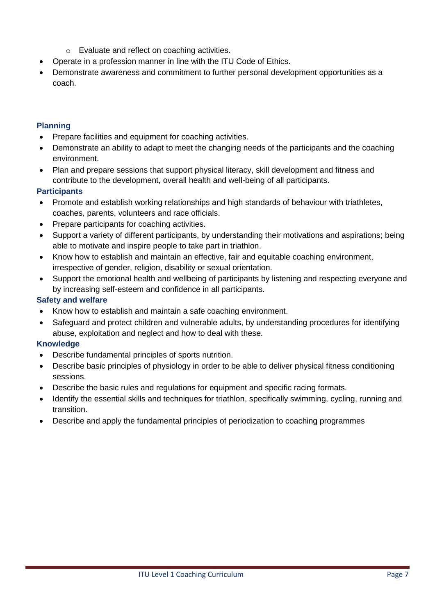- o Evaluate and reflect on coaching activities.
- Operate in a profession manner in line with the ITU Code of Ethics.
- Demonstrate awareness and commitment to further personal development opportunities as a coach.

#### **Planning**

- Prepare facilities and equipment for coaching activities.
- Demonstrate an ability to adapt to meet the changing needs of the participants and the coaching environment.
- Plan and prepare sessions that support physical literacy, skill development and fitness and contribute to the development, overall health and well-being of all participants.

#### **Participants**

- Promote and establish working relationships and high standards of behaviour with triathletes, coaches, parents, volunteers and race officials.
- Prepare participants for coaching activities.
- Support a variety of different participants, by understanding their motivations and aspirations; being able to motivate and inspire people to take part in triathlon.
- Know how to establish and maintain an effective, fair and equitable coaching environment, irrespective of gender, religion, disability or sexual orientation.
- Support the emotional health and wellbeing of participants by listening and respecting everyone and by increasing self-esteem and confidence in all participants.

#### **Safety and welfare**

- Know how to establish and maintain a safe coaching environment.
- Safeguard and protect children and vulnerable adults, by understanding procedures for identifying abuse, exploitation and neglect and how to deal with these.

#### **Knowledge**

- Describe fundamental principles of sports nutrition.
- Describe basic principles of physiology in order to be able to deliver physical fitness conditioning sessions.
- Describe the basic rules and regulations for equipment and specific racing formats.
- Identify the essential skills and techniques for triathlon, specifically swimming, cycling, running and transition.
- Describe and apply the fundamental principles of periodization to coaching programmes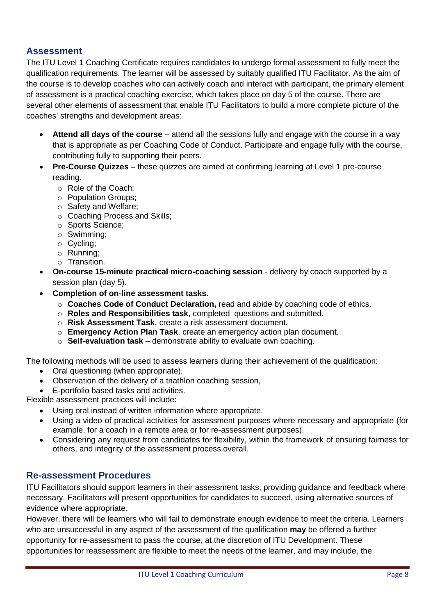# **Assessment**

The ITU Level 1 Coaching Certificate requires candidates to undergo formal assessment to fully meet the qualification requirements. The learner will be assessed by suitably qualified ITU Facilitator. As the aim of the course is to develop coaches who can actively coach and interact with participant, the primary element of assessment is a practical coaching exercise, which takes place on day 5 of the course. There are several other elements of assessment that enable ITU Facilitators to build a more complete picture of the coaches' strengths and development areas:

- **Attend all days of the course** attend all the sessions fully and engage with the course in a way that is appropriate as per Coaching Code of Conduct. Participate and engage fully with the course, contributing fully to supporting their peers.
- **Pre-Course Quizzes** these quizzes are aimed at confirming learning at Level 1 pre-course reading.
	- o Role of the Coach;
	- o Population Groups;
	- o Safety and Welfare;
	- o Coaching Process and Skills;
	- o Sports Science;
	- o Swimming;
	- o Cycling;
	- o Running;
	- o Transition.
- **On-course 15-minute practical micro-coaching session** delivery by coach supported by a session plan (day 5).
- **Completion of on-line assessment tasks**.
	- o **Coaches Code of Conduct Declaration,** read and abide by coaching code of ethics.
	- o **[Roles and Responsibilities task](https://education.triathlon.org/mod/quiz/view.php?id=421)**, completed questions and submitted.
	- o **Risk Assessment Task**, create a risk assessment document.
	- o **Emergency Action Plan Task**, create an emergency action plan document.
	- o **[Self-evaluation task](https://education.triathlon.org/mod/assign/view.php?id=426)** demonstrate ability to evaluate own coaching.

The following methods will be used to assess learners during their achievement of the qualification:

- Oral questioning (when appropriate),
- Observation of the delivery of a triathlon coaching session,
- E-portfolio based tasks and activities.

Flexible assessment practices will include:

- Using oral instead of written information where appropriate.
- Using a video of practical activities for assessment purposes where necessary and appropriate (for example, for a coach in a remote area or for re-assessment purposes).
- Considering any request from candidates for flexibility, within the framework of ensuring fairness for others, and integrity of the assessment process overall.

## **Re-assessment Procedures**

ITU Facilitators should support learners in their assessment tasks, providing guidance and feedback where necessary. Facilitators will present opportunities for candidates to succeed, using alternative sources of evidence where appropriate.

However, there will be learners who will fail to demonstrate enough evidence to meet the criteria. Learners who are unsuccessful in any aspect of the assessment of the qualification **may** be offered a further opportunity for re-assessment to pass the course, at the discretion of ITU Development. These opportunities for reassessment are flexible to meet the needs of the learner, and may include, the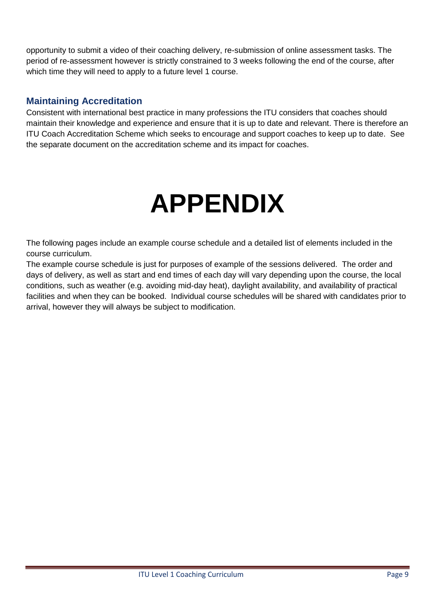opportunity to submit a video of their coaching delivery, re-submission of online assessment tasks. The period of re-assessment however is strictly constrained to 3 weeks following the end of the course, after which time they will need to apply to a future level 1 course.

# **Maintaining Accreditation**

Consistent with international best practice in many professions the ITU considers that coaches should maintain their knowledge and experience and ensure that it is up to date and relevant. There is therefore an ITU Coach Accreditation Scheme which seeks to encourage and support coaches to keep up to date. See the separate document on the accreditation scheme and its impact for coaches.

# **APPENDIX**

The following pages include an example course schedule and a detailed list of elements included in the course curriculum.

The example course schedule is just for purposes of example of the sessions delivered. The order and days of delivery, as well as start and end times of each day will vary depending upon the course, the local conditions, such as weather (e.g. avoiding mid-day heat), daylight availability, and availability of practical facilities and when they can be booked. Individual course schedules will be shared with candidates prior to arrival, however they will always be subject to modification.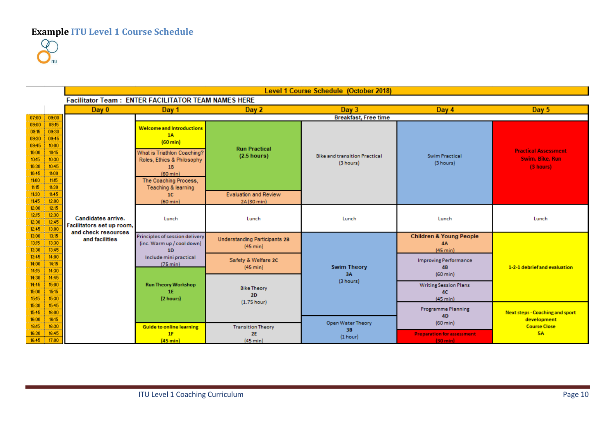**Example ITU Level 1 Course Schedule**

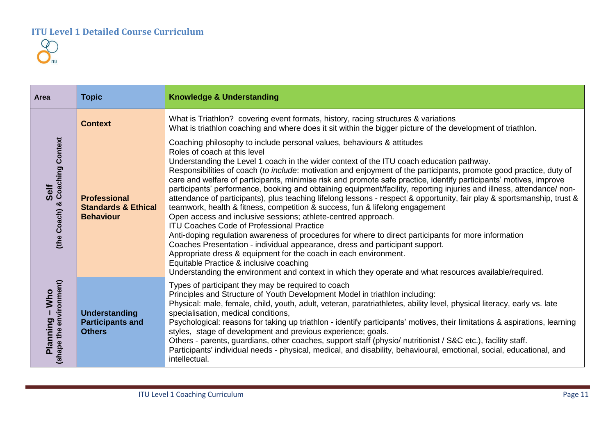

| Area                                             | <b>Topic</b>                                                              | <b>Knowledge &amp; Understanding</b>                                                                                                                                                                                                                                                                                                                                                                                                                                                                                                                                                                                                                                                                                                                                                                                                                                                                                                                                                                                                                                                                                                                                                                                                                                                                                      |
|--------------------------------------------------|---------------------------------------------------------------------------|---------------------------------------------------------------------------------------------------------------------------------------------------------------------------------------------------------------------------------------------------------------------------------------------------------------------------------------------------------------------------------------------------------------------------------------------------------------------------------------------------------------------------------------------------------------------------------------------------------------------------------------------------------------------------------------------------------------------------------------------------------------------------------------------------------------------------------------------------------------------------------------------------------------------------------------------------------------------------------------------------------------------------------------------------------------------------------------------------------------------------------------------------------------------------------------------------------------------------------------------------------------------------------------------------------------------------|
| <b>Coaching Context</b><br>Self<br>(the Coach) & | <b>Context</b>                                                            | What is Triathlon? covering event formats, history, racing structures & variations<br>What is triathlon coaching and where does it sit within the bigger picture of the development of triathlon.                                                                                                                                                                                                                                                                                                                                                                                                                                                                                                                                                                                                                                                                                                                                                                                                                                                                                                                                                                                                                                                                                                                         |
|                                                  | <b>Professional</b><br><b>Standards &amp; Ethical</b><br><b>Behaviour</b> | Coaching philosophy to include personal values, behaviours & attitudes<br>Roles of coach at this level<br>Understanding the Level 1 coach in the wider context of the ITU coach education pathway.<br>Responsibilities of coach (to include: motivation and enjoyment of the participants, promote good practice, duty of<br>care and welfare of participants, minimise risk and promote safe practice, identify participants' motives, improve<br>participants' performance, booking and obtaining equipment/facility, reporting injuries and illness, attendance/ non-<br>attendance of participants), plus teaching lifelong lessons - respect & opportunity, fair play & sportsmanship, trust &<br>teamwork, health & fitness, competition & success, fun & lifelong engagement<br>Open access and inclusive sessions; athlete-centred approach.<br><b>ITU Coaches Code of Professional Practice</b><br>Anti-doping regulation awareness of procedures for where to direct participants for more information<br>Coaches Presentation - individual appearance, dress and participant support.<br>Appropriate dress & equipment for the coach in each environment.<br>Equitable Practice & inclusive coaching<br>Understanding the environment and context in which they operate and what resources available/required. |
| (shape the environment)<br>$-Wino$<br>Planning   | <b>Understanding</b><br><b>Participants and</b><br><b>Others</b>          | Types of participant they may be required to coach<br>Principles and Structure of Youth Development Model in triathlon including:<br>Physical: male, female, child, youth, adult, veteran, paratriathletes, ability level, physical literacy, early vs. late<br>specialisation, medical conditions,<br>Psychological: reasons for taking up triathlon - identify participants' motives, their limitations & aspirations, learning<br>styles, stage of development and previous experience; goals.<br>Others - parents, guardians, other coaches, support staff (physio/ nutritionist / S&C etc.), facility staff.<br>Participants' individual needs - physical, medical, and disability, behavioural, emotional, social, educational, and<br>intellectual.                                                                                                                                                                                                                                                                                                                                                                                                                                                                                                                                                                |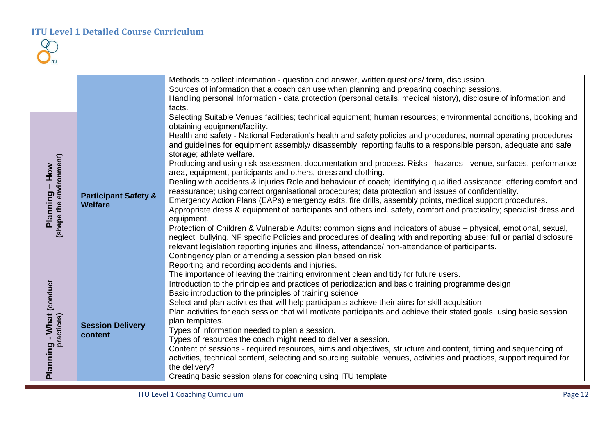

|                                           |                                                   | Methods to collect information - question and answer, written questions/form, discussion.                                                                                                                                                                                                                                                                                                                                                                                                                                                                                                                                                                                                                                                                                                                                                                                                                                                                                                                                                                                                                                                                                                                                                                                                                                                                                                                                                                                                                                                                                                                                                             |
|-------------------------------------------|---------------------------------------------------|-------------------------------------------------------------------------------------------------------------------------------------------------------------------------------------------------------------------------------------------------------------------------------------------------------------------------------------------------------------------------------------------------------------------------------------------------------------------------------------------------------------------------------------------------------------------------------------------------------------------------------------------------------------------------------------------------------------------------------------------------------------------------------------------------------------------------------------------------------------------------------------------------------------------------------------------------------------------------------------------------------------------------------------------------------------------------------------------------------------------------------------------------------------------------------------------------------------------------------------------------------------------------------------------------------------------------------------------------------------------------------------------------------------------------------------------------------------------------------------------------------------------------------------------------------------------------------------------------------------------------------------------------------|
|                                           |                                                   | Sources of information that a coach can use when planning and preparing coaching sessions.                                                                                                                                                                                                                                                                                                                                                                                                                                                                                                                                                                                                                                                                                                                                                                                                                                                                                                                                                                                                                                                                                                                                                                                                                                                                                                                                                                                                                                                                                                                                                            |
|                                           |                                                   | Handling personal Information - data protection (personal details, medical history), disclosure of information and                                                                                                                                                                                                                                                                                                                                                                                                                                                                                                                                                                                                                                                                                                                                                                                                                                                                                                                                                                                                                                                                                                                                                                                                                                                                                                                                                                                                                                                                                                                                    |
|                                           |                                                   | facts.                                                                                                                                                                                                                                                                                                                                                                                                                                                                                                                                                                                                                                                                                                                                                                                                                                                                                                                                                                                                                                                                                                                                                                                                                                                                                                                                                                                                                                                                                                                                                                                                                                                |
| Planning – How<br>(shape the environment) | <b>Participant Safety &amp;</b><br><b>Welfare</b> | Selecting Suitable Venues facilities; technical equipment; human resources; environmental conditions, booking and<br>obtaining equipment/facility.<br>Health and safety - National Federation's health and safety policies and procedures, normal operating procedures<br>and guidelines for equipment assembly/ disassembly, reporting faults to a responsible person, adequate and safe<br>storage; athlete welfare.<br>Producing and using risk assessment documentation and process. Risks - hazards - venue, surfaces, performance<br>area, equipment, participants and others, dress and clothing.<br>Dealing with accidents & injuries Role and behaviour of coach; identifying qualified assistance; offering comfort and<br>reassurance; using correct organisational procedures; data protection and issues of confidentiality.<br>Emergency Action Plans (EAPs) emergency exits, fire drills, assembly points, medical support procedures.<br>Appropriate dress & equipment of participants and others incl. safety, comfort and practicality; specialist dress and<br>equipment.<br>Protection of Children & Vulnerable Adults: common signs and indicators of abuse – physical, emotional, sexual,<br>neglect, bullying. NF specific Policies and procedures of dealing with and reporting abuse; full or partial disclosure;<br>relevant legislation reporting injuries and illness, attendance/ non-attendance of participants.<br>Contingency plan or amending a session plan based on risk<br>Reporting and recording accidents and injuries.<br>The importance of leaving the training environment clean and tidy for future users. |
| Planning - What (conduct<br>practices)    | <b>Session Delivery</b><br>content                | Introduction to the principles and practices of periodization and basic training programme design<br>Basic introduction to the principles of training science<br>Select and plan activities that will help participants achieve their aims for skill acquisition<br>Plan activities for each session that will motivate participants and achieve their stated goals, using basic session<br>plan templates.<br>Types of information needed to plan a session.<br>Types of resources the coach might need to deliver a session.<br>Content of sessions - required resources, aims and objectives, structure and content, timing and sequencing of<br>activities, technical content, selecting and sourcing suitable, venues, activities and practices, support required for<br>the delivery?<br>Creating basic session plans for coaching using ITU template                                                                                                                                                                                                                                                                                                                                                                                                                                                                                                                                                                                                                                                                                                                                                                                           |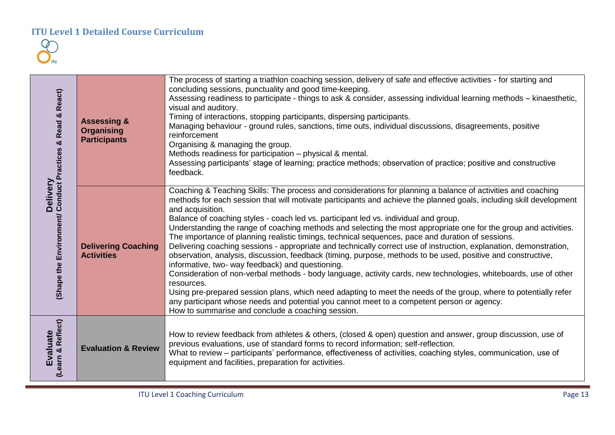| Delivery<br>(Shape the Environment/ Conduct Practices & Read & React) | <b>Assessing &amp;</b><br><b>Organising</b><br><b>Participants</b> | The process of starting a triathlon coaching session, delivery of safe and effective activities - for starting and<br>concluding sessions, punctuality and good time-keeping.<br>Assessing readiness to participate - things to ask & consider, assessing individual learning methods - kinaesthetic,<br>visual and auditory.<br>Timing of interactions, stopping participants, dispersing participants.<br>Managing behaviour - ground rules, sanctions, time outs, individual discussions, disagreements, positive<br>reinforcement<br>Organising & managing the group.<br>Methods readiness for participation – physical & mental.<br>Assessing participants' stage of learning; practice methods; observation of practice; positive and constructive<br>feedback.                                                                                                                                                                                                                                                                                                                                                                                                                                                                                                       |
|-----------------------------------------------------------------------|--------------------------------------------------------------------|-----------------------------------------------------------------------------------------------------------------------------------------------------------------------------------------------------------------------------------------------------------------------------------------------------------------------------------------------------------------------------------------------------------------------------------------------------------------------------------------------------------------------------------------------------------------------------------------------------------------------------------------------------------------------------------------------------------------------------------------------------------------------------------------------------------------------------------------------------------------------------------------------------------------------------------------------------------------------------------------------------------------------------------------------------------------------------------------------------------------------------------------------------------------------------------------------------------------------------------------------------------------------------|
|                                                                       | <b>Delivering Coaching</b><br><b>Activities</b>                    | Coaching & Teaching Skills: The process and considerations for planning a balance of activities and coaching<br>methods for each session that will motivate participants and achieve the planned goals, including skill development<br>and acquisition.<br>Balance of coaching styles - coach led vs. participant led vs. individual and group.<br>Understanding the range of coaching methods and selecting the most appropriate one for the group and activities.<br>The importance of planning realistic timings, technical sequences, pace and duration of sessions.<br>Delivering coaching sessions - appropriate and technically correct use of instruction, explanation, demonstration,<br>observation, analysis, discussion, feedback (timing, purpose, methods to be used, positive and constructive,<br>informative, two- way feedback) and questioning.<br>Consideration of non-verbal methods - body language, activity cards, new technologies, whiteboards, use of other<br>resources.<br>Using pre-prepared session plans, which need adapting to meet the needs of the group, where to potentially refer<br>any participant whose needs and potential you cannot meet to a competent person or agency.<br>How to summarise and conclude a coaching session. |
| (Learn & Reflect)<br><b>Evaluate</b>                                  | <b>Evaluation &amp; Review</b>                                     | How to review feedback from athletes & others, (closed & open) question and answer, group discussion, use of<br>previous evaluations, use of standard forms to record information; self-reflection.<br>What to review - participants' performance, effectiveness of activities, coaching styles, communication, use of<br>equipment and facilities, preparation for activities.                                                                                                                                                                                                                                                                                                                                                                                                                                                                                                                                                                                                                                                                                                                                                                                                                                                                                             |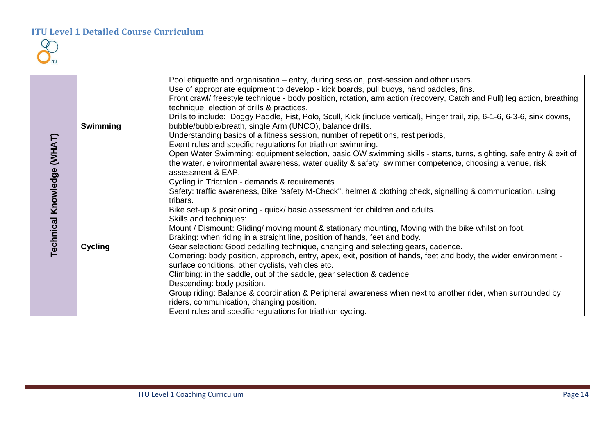